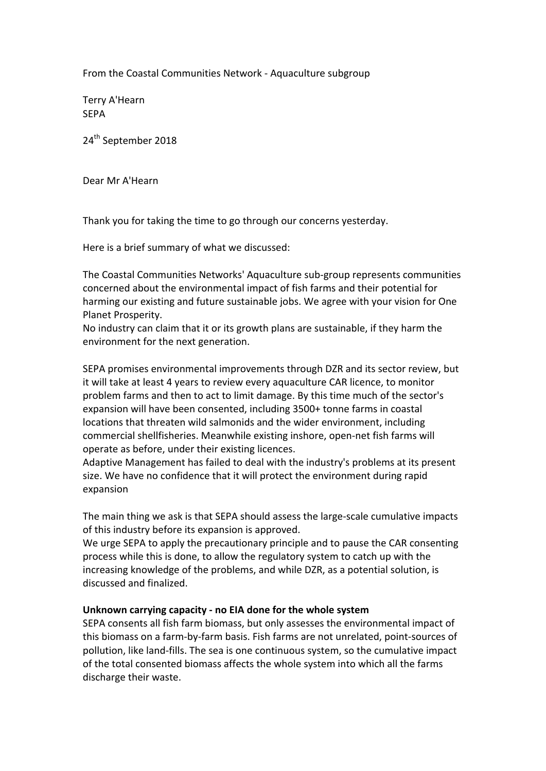From the Coastal Communities Network - Aquaculture subgroup

Terry A'Hearn SEPA

24<sup>th</sup> September 2018

Dear Mr A'Hearn

Thank you for taking the time to go through our concerns yesterday.

Here is a brief summary of what we discussed:

The Coastal Communities Networks' Aquaculture sub-group represents communities concerned about the environmental impact of fish farms and their potential for harming our existing and future sustainable jobs. We agree with your vision for One Planet Prosperity.

No industry can claim that it or its growth plans are sustainable, if they harm the environment for the next generation.

SEPA promises environmental improvements through DZR and its sector review, but it will take at least 4 years to review every aquaculture CAR licence, to monitor problem farms and then to act to limit damage. By this time much of the sector's expansion will have been consented, including 3500+ tonne farms in coastal locations that threaten wild salmonids and the wider environment, including commercial shellfisheries. Meanwhile existing inshore, open-net fish farms will operate as before, under their existing licences.

Adaptive Management has failed to deal with the industry's problems at its present size. We have no confidence that it will protect the environment during rapid expansion

The main thing we ask is that SEPA should assess the large-scale cumulative impacts of this industry before its expansion is approved.

We urge SEPA to apply the precautionary principle and to pause the CAR consenting process while this is done, to allow the regulatory system to catch up with the increasing knowledge of the problems, and while DZR, as a potential solution, is discussed and finalized. 

#### Unknown carrying capacity - no EIA done for the whole system

SEPA consents all fish farm biomass, but only assesses the environmental impact of this biomass on a farm-by-farm basis. Fish farms are not unrelated, point-sources of pollution, like land-fills. The sea is one continuous system, so the cumulative impact of the total consented biomass affects the whole system into which all the farms discharge their waste.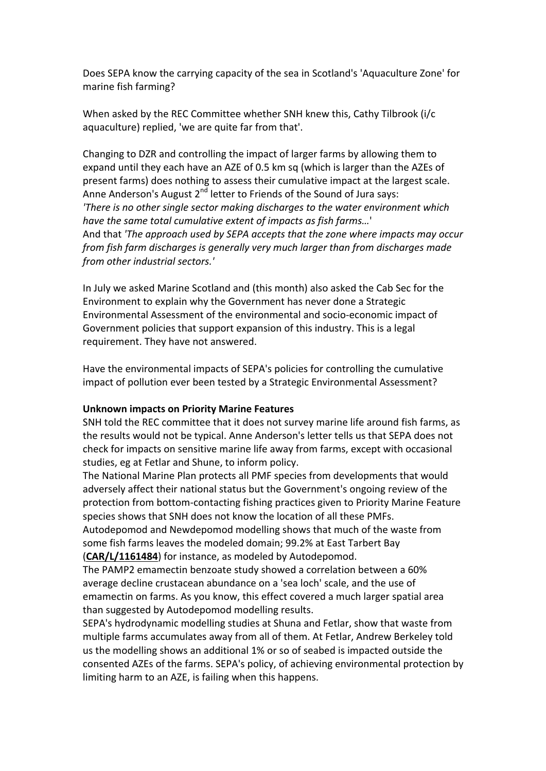Does SEPA know the carrying capacity of the sea in Scotland's 'Aquaculture Zone' for marine fish farming?

When asked by the REC Committee whether SNH knew this, Cathy Tilbrook (i/c aquaculture) replied, 'we are quite far from that'.

Changing to DZR and controlling the impact of larger farms by allowing them to expand until they each have an AZE of 0.5 km sq (which is larger than the AZEs of present farms) does nothing to assess their cumulative impact at the largest scale. Anne Anderson's August  $2^{nd}$  letter to Friends of the Sound of Jura says: *'There is no other single sector making discharges to the water environment which* have the same total cumulative extent of impacts as fish farms...' And that 'The approach used by SEPA accepts that the zone where impacts may occur *from fish farm discharges is generally very much larger than from discharges made from other industrial sectors.'*

In July we asked Marine Scotland and (this month) also asked the Cab Sec for the Environment to explain why the Government has never done a Strategic Environmental Assessment of the environmental and socio-economic impact of Government policies that support expansion of this industry. This is a legal requirement. They have not answered.

Have the environmental impacts of SEPA's policies for controlling the cumulative impact of pollution ever been tested by a Strategic Environmental Assessment?

#### **Unknown impacts on Priority Marine Features**

SNH told the REC committee that it does not survey marine life around fish farms, as the results would not be typical. Anne Anderson's letter tells us that SEPA does not check for impacts on sensitive marine life away from farms, except with occasional studies, eg at Fetlar and Shune, to inform policy.

The National Marine Plan protects all PMF species from developments that would adversely affect their national status but the Government's ongoing review of the protection from bottom-contacting fishing practices given to Priority Marine Feature species shows that SNH does not know the location of all these PMFs.

Autodepomod and Newdepomod modelling shows that much of the waste from some fish farms leaves the modeled domain; 99.2% at East Tarbert Bay (CAR/L/1161484) for instance, as modeled by Autodepomod.

The PAMP2 emamectin benzoate study showed a correlation between a 60% average decline crustacean abundance on a 'sea loch' scale, and the use of emamectin on farms. As you know, this effect covered a much larger spatial area than suggested by Autodepomod modelling results.

SEPA's hydrodynamic modelling studies at Shuna and Fetlar, show that waste from multiple farms accumulates away from all of them. At Fetlar, Andrew Berkeley told us the modelling shows an additional 1% or so of seabed is impacted outside the consented AZEs of the farms. SEPA's policy, of achieving environmental protection by limiting harm to an AZE, is failing when this happens.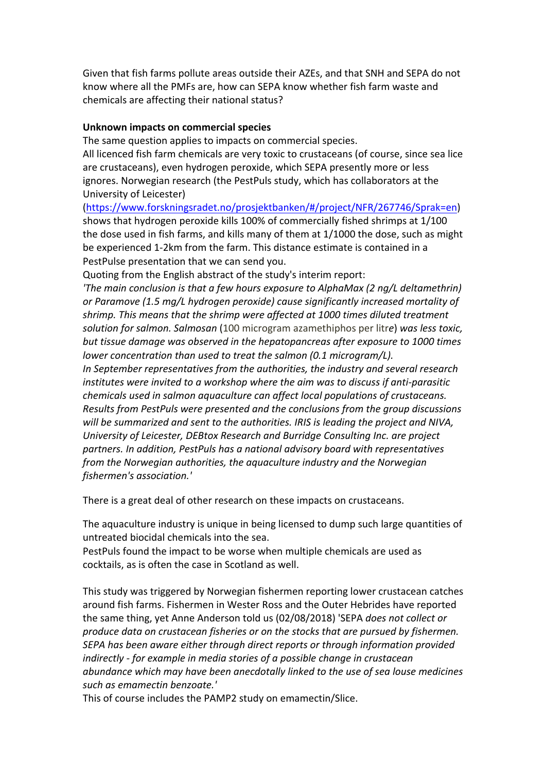Given that fish farms pollute areas outside their AZEs, and that SNH and SEPA do not know where all the PMFs are, how can SEPA know whether fish farm waste and chemicals are affecting their national status?

# **Unknown impacts on commercial species**

The same question applies to impacts on commercial species.

All licenced fish farm chemicals are very toxic to crustaceans (of course, since sea lice are crustaceans), even hydrogen peroxide, which SEPA presently more or less ignores. Norwegian research (the PestPuls study, which has collaborators at the University of Leicester)

(https://www.forskningsradet.no/prosjektbanken/#/project/NFR/267746/Sprak=en) shows that hydrogen peroxide kills 100% of commercially fished shrimps at 1/100 the dose used in fish farms, and kills many of them at  $1/1000$  the dose, such as might be experienced 1-2km from the farm. This distance estimate is contained in a PestPulse presentation that we can send you.

Quoting from the English abstract of the study's interim report:

*'The main conclusion is that a few hours exposure to AlphaMax (2 ng/L deltamethrin)* or Paramove (1.5 mg/L hydrogen peroxide) cause significantly increased mortality of shrimp. This means that the shrimp were affected at 1000 times diluted treatment *solution for salmon. Salmosan* (100 microgram azamethiphos per litre) was less toxic, *but tissue damage was observed in the hepatopancreas after exposure to 1000 times lower* concentration than used to treat the salmon (0.1 microgram/L).

In September representatives from the authorities, the industry and several research *institutes* were *invited to a workshop where the aim was to discuss if anti-parasitic chemicals used in salmon aquaculture can affect local populations of crustaceans. Results from PestPuls were presented and the conclusions from the group discussions* will be summarized and sent to the authorities. *IRIS* is leading the project and NIVA, *University of Leicester, DEBtox Research and Burridge Consulting Inc. are project partners. In addition, PestPuls has a national advisory board with representatives from the Norwegian authorities, the aquaculture industry and the Norwegian fishermen's association.'*

There is a great deal of other research on these impacts on crustaceans.

The aquaculture industry is unique in being licensed to dump such large quantities of untreated biocidal chemicals into the sea.

PestPuls found the impact to be worse when multiple chemicals are used as cocktails, as is often the case in Scotland as well.

This study was triggered by Norwegian fishermen reporting lower crustacean catches around fish farms. Fishermen in Wester Ross and the Outer Hebrides have reported the same thing, yet Anne Anderson told us (02/08/2018) 'SEPA *does not collect or produce data on crustacean fisheries or on the stocks that are pursued by fishermen.* SEPA has been aware either through direct reports or through information provided *indirectly* - for example in media stories of a possible change in crustacean abundance which may have been anecdotally linked to the use of sea louse medicines *such as emamectin benzoate.'* 

This of course includes the PAMP2 study on emamectin/Slice.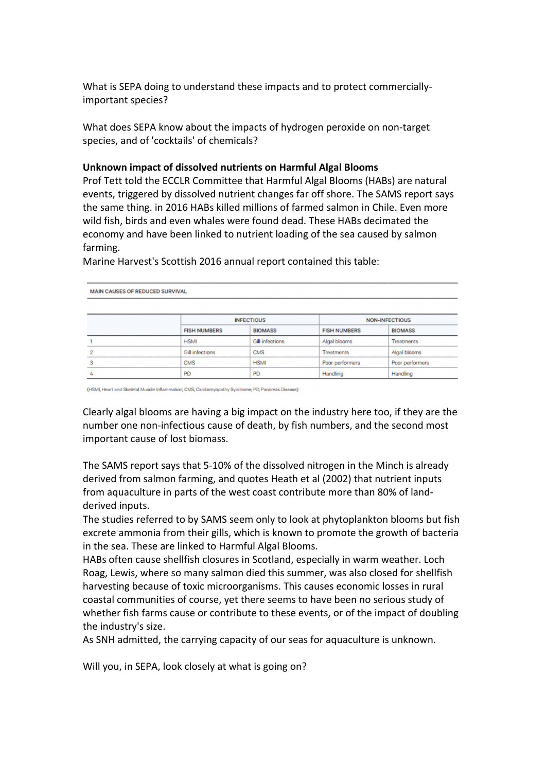What is SEPA doing to understand these impacts and to protect commerciallyimportant species?

What does SEPA know about the impacts of hydrogen peroxide on non-target species, and of 'cocktails' of chemicals?

#### **Unknown impact of dissolved nutrients on Harmful Algal Blooms**

Prof Tett told the ECCLR Committee that Harmful Algal Blooms (HABs) are natural events, triggered by dissolved nutrient changes far off shore. The SAMS report says the same thing. in 2016 HABs killed millions of farmed salmon in Chile. Even more wild fish, birds and even whales were found dead. These HABs decimated the economy and have been linked to nutrient loading of the sea caused by salmon farming. 

| <b>MAIN CAUSES OF REDUCED SURVIVAL</b> |                        |                        |                       |                   |  |  |
|----------------------------------------|------------------------|------------------------|-----------------------|-------------------|--|--|
|                                        |                        | <b>INFECTIOUS</b>      | <b>NON-INFECTIOUS</b> |                   |  |  |
|                                        | <b>FISH NUMBERS</b>    | <b>BIOMASS</b>         | <b>FISH NUMBERS</b>   | <b>BIOMASS</b>    |  |  |
|                                        | <b>HSMI</b>            | <b>Gill infections</b> | Algal blooms          | <b>Treatments</b> |  |  |
|                                        | <b>Gill infections</b> | <b>CMS</b>             | <b>Treatments</b>     | Algal blooms      |  |  |
| 3                                      | <b>CMS</b>             | <b>HSMI</b>            | Poor performers       | Poor performers   |  |  |
|                                        | PD                     | <b>PD</b>              | Handling              | Handling          |  |  |

Marine Harvest's Scottish 2016 annual report contained this table:

(HSMI, Heart and Skeletal Muscle Inflammation; CMS, Cardiomyopathy Syndrome; PD, Pancreas Disease)

Clearly algal blooms are having a big impact on the industry here too, if they are the number one non-infectious cause of death, by fish numbers, and the second most important cause of lost biomass.

The SAMS report says that 5-10% of the dissolved nitrogen in the Minch is already derived from salmon farming, and quotes Heath et al (2002) that nutrient inputs from aquaculture in parts of the west coast contribute more than 80% of landderived inputs.

The studies referred to by SAMS seem only to look at phytoplankton blooms but fish excrete ammonia from their gills, which is known to promote the growth of bacteria in the sea. These are linked to Harmful Algal Blooms.

HABs often cause shellfish closures in Scotland, especially in warm weather. Loch Roag, Lewis, where so many salmon died this summer, was also closed for shellfish harvesting because of toxic microorganisms. This causes economic losses in rural coastal communities of course, yet there seems to have been no serious study of whether fish farms cause or contribute to these events, or of the impact of doubling the industry's size.

As SNH admitted, the carrying capacity of our seas for aquaculture is unknown.

Will you, in SEPA, look closely at what is going on?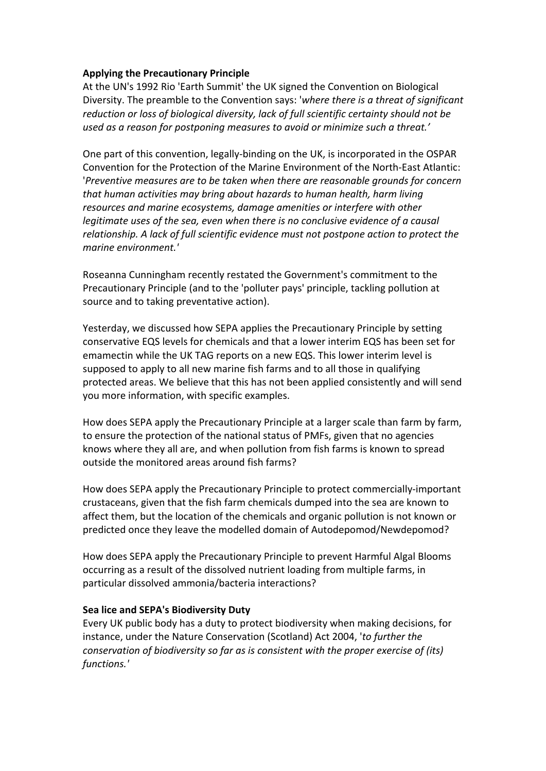# **Applying the Precautionary Principle**

At the UN's 1992 Rio 'Earth Summit' the UK signed the Convention on Biological Diversity. The preamble to the Convention says: 'where there is a threat of significant reduction or loss of biological diversity, lack of full scientific certainty should not be used as a reason for postponing measures to avoid or minimize such a threat.'

One part of this convention, legally-binding on the UK, is incorporated in the OSPAR Convention for the Protection of the Marine Environment of the North-East Atlantic: *'Preventive measures are to be taken when there are reasonable arounds for concern* that human activities may bring about hazards to human health, harm living resources and marine ecosystems, damage amenities or interfere with other *legitimate uses of the sea, even when there is no conclusive evidence of a causal relationship.* A lack of full scientific evidence must not postpone action to protect the *marine environment.'*

Roseanna Cunningham recently restated the Government's commitment to the Precautionary Principle (and to the 'polluter pays' principle, tackling pollution at source and to taking preventative action).

Yesterday, we discussed how SEPA applies the Precautionary Principle by setting conservative EQS levels for chemicals and that a lower interim EQS has been set for emamectin while the UK TAG reports on a new EQS. This lower interim level is supposed to apply to all new marine fish farms and to all those in qualifying protected areas. We believe that this has not been applied consistently and will send you more information, with specific examples.

How does SEPA apply the Precautionary Principle at a larger scale than farm by farm, to ensure the protection of the national status of PMFs, given that no agencies knows where they all are, and when pollution from fish farms is known to spread outside the monitored areas around fish farms?

How does SEPA apply the Precautionary Principle to protect commercially-important crustaceans, given that the fish farm chemicals dumped into the sea are known to affect them, but the location of the chemicals and organic pollution is not known or predicted once they leave the modelled domain of Autodepomod/Newdepomod?

How does SEPA apply the Precautionary Principle to prevent Harmful Algal Blooms occurring as a result of the dissolved nutrient loading from multiple farms, in particular dissolved ammonia/bacteria interactions?

# **Sea lice and SEPA's Biodiversity Duty**

Every UK public body has a duty to protect biodiversity when making decisions, for instance, under the Nature Conservation (Scotland) Act 2004, 'to further the *conservation of biodiversity so far as is consistent with the proper exercise of (its) functions.'*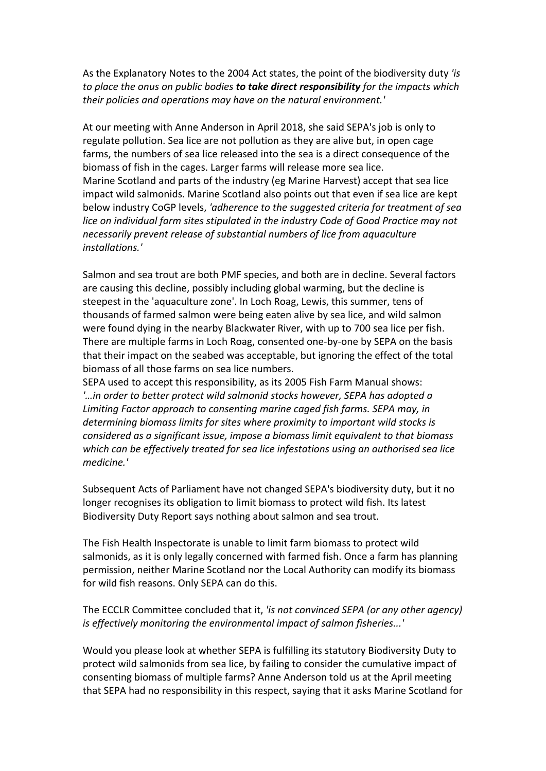As the Explanatory Notes to the 2004 Act states, the point of the biodiversity duty 'is *to* place the onus on public bodies **to take direct responsibility** for the impacts which their policies and operations may have on the natural environment.'

At our meeting with Anne Anderson in April 2018, she said SEPA's job is only to regulate pollution. Sea lice are not pollution as they are alive but, in open cage farms, the numbers of sea lice released into the sea is a direct consequence of the biomass of fish in the cages. Larger farms will release more sea lice. Marine Scotland and parts of the industry (eg Marine Harvest) accept that sea lice impact wild salmonids. Marine Scotland also points out that even if sea lice are kept below industry CoGP levels, 'adherence to the suggested criteria for treatment of sea *lice* on individual farm sites stipulated in the industry Code of Good Practice may not *necessarily prevent release of substantial numbers of lice from aquaculture installations.'*

Salmon and sea trout are both PMF species, and both are in decline. Several factors are causing this decline, possibly including global warming, but the decline is steepest in the 'aquaculture zone'. In Loch Roag, Lewis, this summer, tens of thousands of farmed salmon were being eaten alive by sea lice, and wild salmon were found dying in the nearby Blackwater River, with up to 700 sea lice per fish. There are multiple farms in Loch Roag, consented one-by-one by SEPA on the basis that their impact on the seabed was acceptable, but ignoring the effect of the total biomass of all those farms on sea lice numbers.

SEPA used to accept this responsibility, as its 2005 Fish Farm Manual shows: *'…in order to better protect wild salmonid stocks however, SEPA has adopted a*  Limiting Factor approach to consenting marine caged fish farms. SEPA may, in determining biomass limits for sites where proximity to important wild stocks is *considered as a significant issue, impose a biomass limit equivalent to that biomass* which can be effectively treated for sea lice infestations using an authorised sea lice *medicine.'*

Subsequent Acts of Parliament have not changed SEPA's biodiversity duty, but it no longer recognises its obligation to limit biomass to protect wild fish. Its latest Biodiversity Duty Report says nothing about salmon and sea trout.

The Fish Health Inspectorate is unable to limit farm biomass to protect wild salmonids, as it is only legally concerned with farmed fish. Once a farm has planning permission, neither Marine Scotland nor the Local Authority can modify its biomass for wild fish reasons. Only SEPA can do this.

The ECCLR Committee concluded that it, 'is not convinced SEPA (or any other agency) *is effectively monitoring the environmental impact of salmon fisheries...'* 

Would you please look at whether SEPA is fulfilling its statutory Biodiversity Duty to protect wild salmonids from sea lice, by failing to consider the cumulative impact of consenting biomass of multiple farms? Anne Anderson told us at the April meeting that SEPA had no responsibility in this respect, saying that it asks Marine Scotland for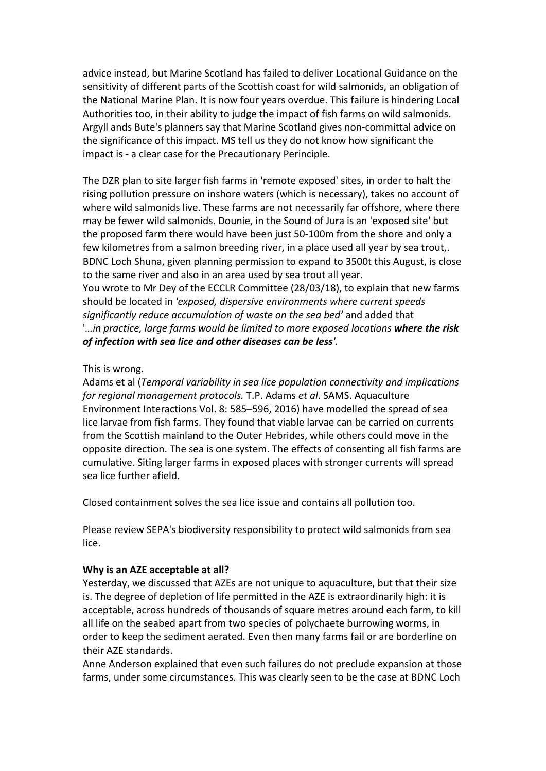advice instead, but Marine Scotland has failed to deliver Locational Guidance on the sensitivity of different parts of the Scottish coast for wild salmonids, an obligation of the National Marine Plan. It is now four years overdue. This failure is hindering Local Authorities too, in their ability to judge the impact of fish farms on wild salmonids. Argyll ands Bute's planners say that Marine Scotland gives non-committal advice on the significance of this impact. MS tell us they do not know how significant the impact is - a clear case for the Precautionary Perinciple.

The DZR plan to site larger fish farms in 'remote exposed' sites, in order to halt the rising pollution pressure on inshore waters (which is necessary), takes no account of where wild salmonids live. These farms are not necessarily far offshore, where there may be fewer wild salmonids. Dounie, in the Sound of Jura is an 'exposed site' but the proposed farm there would have been just 50-100m from the shore and only a few kilometres from a salmon breeding river, in a place used all year by sea trout,. BDNC Loch Shuna, given planning permission to expand to 3500t this August, is close to the same river and also in an area used by sea trout all year.

You wrote to Mr Dey of the ECCLR Committee (28/03/18), to explain that new farms should be located in 'exposed, dispersive environments where current speeds significantly reduce accumulation of waste on the sea bed' and added that *'…in practice, large farms would be limited to more exposed locations where the risk of infection with sea lice and other diseases can be less'.*

# This is wrong.

Adams et al *(Temporal variability in sea lice population connectivity and implications for regional management protocols.* T.P. Adams *et al.* SAMS. Aquaculture Environment Interactions Vol. 8: 585–596, 2016) have modelled the spread of sea lice larvae from fish farms. They found that viable larvae can be carried on currents from the Scottish mainland to the Outer Hebrides, while others could move in the opposite direction. The sea is one system. The effects of consenting all fish farms are cumulative. Siting larger farms in exposed places with stronger currents will spread sea lice further afield.

Closed containment solves the sea lice issue and contains all pollution too.

Please review SEPA's biodiversity responsibility to protect wild salmonids from sea lice.

#### **Why is an AZE acceptable at all?**

Yesterday, we discussed that AZEs are not unique to aquaculture, but that their size is. The degree of depletion of life permitted in the AZE is extraordinarily high: it is acceptable, across hundreds of thousands of square metres around each farm, to kill all life on the seabed apart from two species of polychaete burrowing worms, in order to keep the sediment aerated. Even then many farms fail or are borderline on their AZE standards. 

Anne Anderson explained that even such failures do not preclude expansion at those farms, under some circumstances. This was clearly seen to be the case at BDNC Loch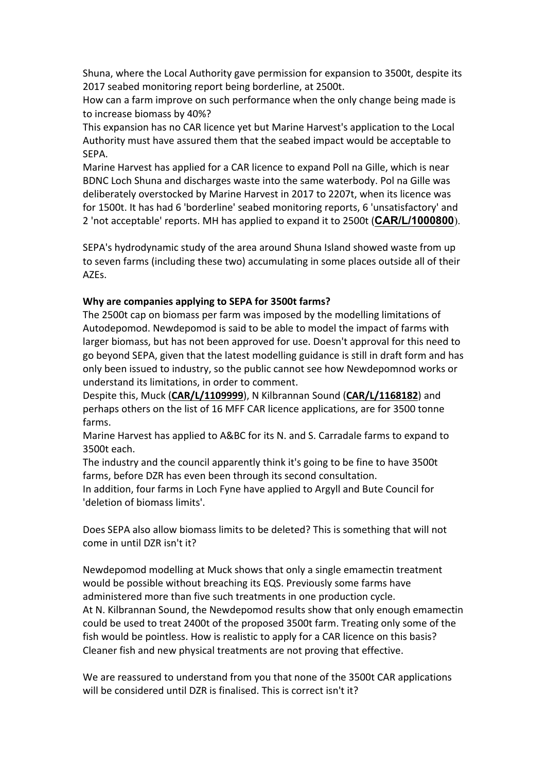Shuna, where the Local Authority gave permission for expansion to 3500t, despite its 2017 seabed monitoring report being borderline, at 2500t.

How can a farm improve on such performance when the only change being made is to increase biomass by 40%?

This expansion has no CAR licence vet but Marine Harvest's application to the Local Authority must have assured them that the seabed impact would be acceptable to SEPA. 

Marine Harvest has applied for a CAR licence to expand Poll na Gille, which is near BDNC Loch Shuna and discharges waste into the same waterbody. Pol na Gille was deliberately overstocked by Marine Harvest in 2017 to 2207t, when its licence was for 1500t. It has had 6 'borderline' seabed monitoring reports, 6 'unsatisfactory' and 2 'not acceptable' reports. MH has applied to expand it to 2500t (**CAR/L/1000800**).

SEPA's hydrodynamic study of the area around Shuna Island showed waste from up to seven farms (including these two) accumulating in some places outside all of their AZEs. 

#### **Why are companies applying to SEPA for 3500t farms?**

The 2500t cap on biomass per farm was imposed by the modelling limitations of Autodepomod. Newdepomod is said to be able to model the impact of farms with larger biomass, but has not been approved for use. Doesn't approval for this need to go beyond SEPA, given that the latest modelling guidance is still in draft form and has only been issued to industry, so the public cannot see how Newdepomnod works or understand its limitations, in order to comment.

Despite this, Muck (CAR/L/1109999), N Kilbrannan Sound (CAR/L/1168182) and perhaps others on the list of 16 MFF CAR licence applications, are for 3500 tonne farms. 

Marine Harvest has applied to A&BC for its N. and S. Carradale farms to expand to 3500t each.

The industry and the council apparently think it's going to be fine to have 3500t farms, before DZR has even been through its second consultation.

In addition, four farms in Loch Fyne have applied to Argyll and Bute Council for 'deletion of biomass limits'.

Does SEPA also allow biomass limits to be deleted? This is something that will not come in until DZR isn't it?

Newdepomod modelling at Muck shows that only a single emamectin treatment would be possible without breaching its EQS. Previously some farms have administered more than five such treatments in one production cycle. At N. Kilbrannan Sound, the Newdepomod results show that only enough emamectin could be used to treat 2400t of the proposed 3500t farm. Treating only some of the fish would be pointless. How is realistic to apply for a CAR licence on this basis? Cleaner fish and new physical treatments are not proving that effective.

We are reassured to understand from you that none of the 3500t CAR applications will be considered until DZR is finalised. This is correct isn't it?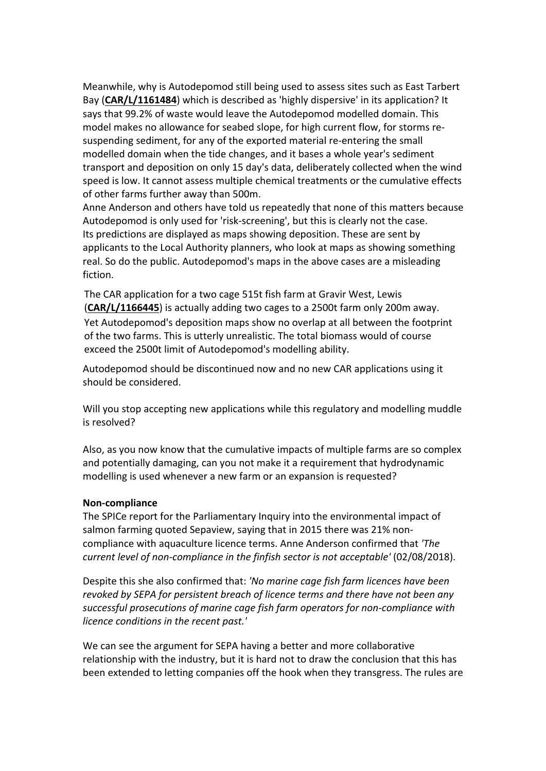Meanwhile, why is Autodepomod still being used to assess sites such as East Tarbert Bay (CAR/L/1161484) which is described as 'highly dispersive' in its application? It says that 99.2% of waste would leave the Autodepomod modelled domain. This model makes no allowance for seabed slope, for high current flow, for storms resuspending sediment, for any of the exported material re-entering the small modelled domain when the tide changes, and it bases a whole year's sediment transport and deposition on only 15 day's data, deliberately collected when the wind speed is low. It cannot assess multiple chemical treatments or the cumulative effects of other farms further away than 500m.

Anne Anderson and others have told us repeatedly that none of this matters because Autodepomod is only used for 'risk-screening', but this is clearly not the case. Its predictions are displayed as maps showing deposition. These are sent by applicants to the Local Authority planners, who look at maps as showing something real. So do the public. Autodepomod's maps in the above cases are a misleading fiction. 

The CAR application for a two cage 515t fish farm at Gravir West, Lewis **(CAR/L/1166445)** is actually adding two cages to a 2500t farm only 200m away. Yet Autodepomod's deposition maps show no overlap at all between the footprint of the two farms. This is utterly unrealistic. The total biomass would of course exceed the 2500t limit of Autodepomod's modelling ability.

Autodepomod should be discontinued now and no new CAR applications using it should be considered.

Will you stop accepting new applications while this regulatory and modelling muddle is resolved?

Also, as you now know that the cumulative impacts of multiple farms are so complex and potentially damaging, can you not make it a requirement that hydrodynamic modelling is used whenever a new farm or an expansion is requested?

# **Non-compliance**

The SPICe report for the Parliamentary Inquiry into the environmental impact of salmon farming quoted Sepaview, saying that in 2015 there was 21% noncompliance with aquaculture licence terms. Anne Anderson confirmed that 'The *current level of non-compliance in the finfish sector is not acceptable'* (02/08/2018).

Despite this she also confirmed that: 'No marine cage fish farm licences have been *revoked by SEPA for persistent breach of licence terms and there have not been any* successful prosecutions of marine cage fish farm operators for non-compliance with *licence conditions in the recent past.'* 

We can see the argument for SEPA having a better and more collaborative relationship with the industry, but it is hard not to draw the conclusion that this has been extended to letting companies off the hook when they transgress. The rules are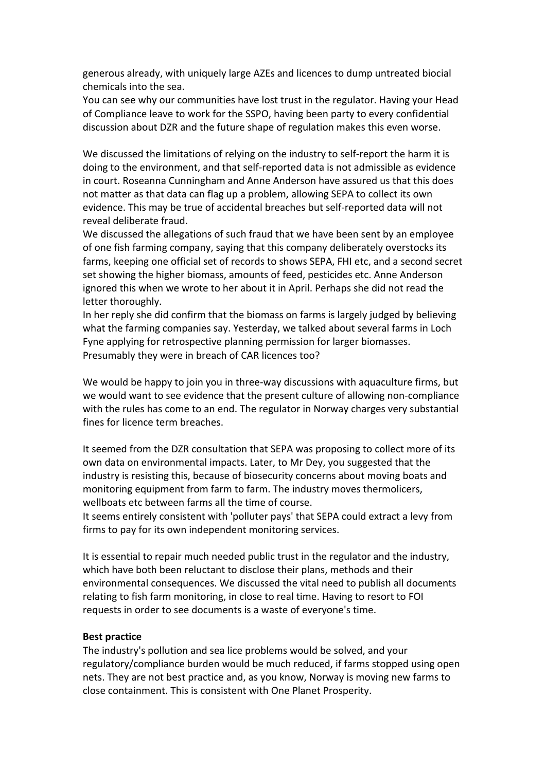generous already, with uniquely large AZEs and licences to dump untreated biocial chemicals into the sea.

You can see why our communities have lost trust in the regulator. Having your Head of Compliance leave to work for the SSPO, having been party to every confidential discussion about DZR and the future shape of regulation makes this even worse.

We discussed the limitations of relying on the industry to self-report the harm it is doing to the environment, and that self-reported data is not admissible as evidence in court. Roseanna Cunningham and Anne Anderson have assured us that this does not matter as that data can flag up a problem, allowing SEPA to collect its own evidence. This may be true of accidental breaches but self-reported data will not reveal deliberate fraud.

We discussed the allegations of such fraud that we have been sent by an employee of one fish farming company, saying that this company deliberately overstocks its farms, keeping one official set of records to shows SEPA, FHI etc, and a second secret set showing the higher biomass, amounts of feed, pesticides etc. Anne Anderson ignored this when we wrote to her about it in April. Perhaps she did not read the letter thoroughly.

In her reply she did confirm that the biomass on farms is largely judged by believing what the farming companies say. Yesterday, we talked about several farms in Loch Fyne applying for retrospective planning permission for larger biomasses. Presumably they were in breach of CAR licences too?

We would be happy to join you in three-way discussions with aquaculture firms, but we would want to see evidence that the present culture of allowing non-compliance with the rules has come to an end. The regulator in Norway charges very substantial fines for licence term breaches.

It seemed from the DZR consultation that SEPA was proposing to collect more of its own data on environmental impacts. Later, to Mr Dey, you suggested that the industry is resisting this, because of biosecurity concerns about moving boats and monitoring equipment from farm to farm. The industry moves thermolicers, wellboats etc between farms all the time of course.

It seems entirely consistent with 'polluter pays' that SEPA could extract a levy from firms to pay for its own independent monitoring services.

It is essential to repair much needed public trust in the regulator and the industry, which have both been reluctant to disclose their plans, methods and their environmental consequences. We discussed the vital need to publish all documents relating to fish farm monitoring, in close to real time. Having to resort to FOI requests in order to see documents is a waste of everyone's time.

#### **Best practice**

The industry's pollution and sea lice problems would be solved, and your regulatory/compliance burden would be much reduced, if farms stopped using open nets. They are not best practice and, as you know, Norway is moving new farms to close containment. This is consistent with One Planet Prosperity.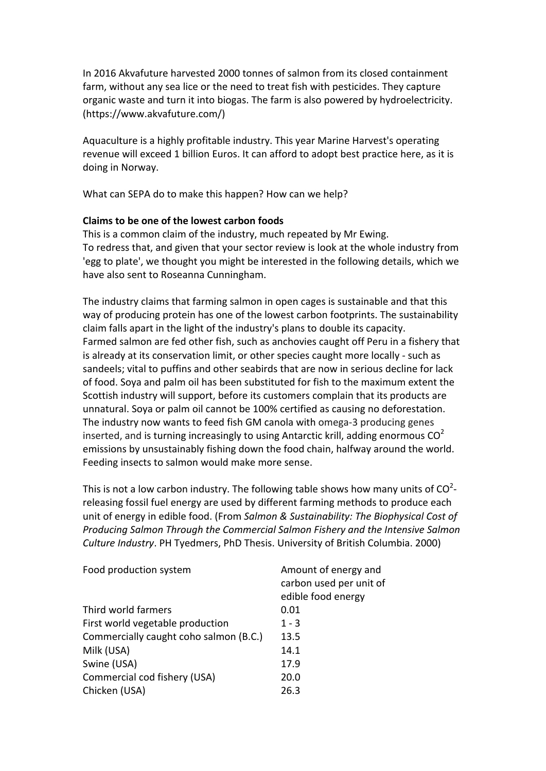In 2016 Akvafuture harvested 2000 tonnes of salmon from its closed containment farm, without any sea lice or the need to treat fish with pesticides. They capture organic waste and turn it into biogas. The farm is also powered by hydroelectricity. (https://www.akvafuture.com/)

Aquaculture is a highly profitable industry. This year Marine Harvest's operating revenue will exceed 1 billion Euros. It can afford to adopt best practice here, as it is doing in Norway.

What can SEPA do to make this happen? How can we help?

# **Claims to be one of the lowest carbon foods**

This is a common claim of the industry, much repeated by Mr Ewing. To redress that, and given that your sector review is look at the whole industry from 'egg to plate', we thought you might be interested in the following details, which we have also sent to Roseanna Cunningham.

The industry claims that farming salmon in open cages is sustainable and that this way of producing protein has one of the lowest carbon footprints. The sustainability claim falls apart in the light of the industry's plans to double its capacity. Farmed salmon are fed other fish, such as anchovies caught off Peru in a fishery that is already at its conservation limit, or other species caught more locally - such as sandeels; vital to puffins and other seabirds that are now in serious decline for lack of food. Soya and palm oil has been substituted for fish to the maximum extent the Scottish industry will support, before its customers complain that its products are unnatural. Soya or palm oil cannot be 100% certified as causing no deforestation. The industry now wants to feed fish GM canola with omega-3 producing genes inserted, and is turning increasingly to using Antarctic krill, adding enormous  $CO<sup>2</sup>$ emissions by unsustainably fishing down the food chain, halfway around the world. Feeding insects to salmon would make more sense.

This is not a low carbon industry. The following table shows how many units of  $\text{CO}^2$ releasing fossil fuel energy are used by different farming methods to produce each unit of energy in edible food. (From *Salmon & Sustainability: The Biophysical Cost of Producing Salmon Through the Commercial Salmon Fishery and the Intensive Salmon Culture Industry*. PH Tyedmers, PhD Thesis. University of British Columbia. 2000)

| Food production system                 | Amount of energy and    |  |
|----------------------------------------|-------------------------|--|
|                                        | carbon used per unit of |  |
|                                        | edible food energy      |  |
| Third world farmers                    | 0.01                    |  |
| First world vegetable production       | $1 - 3$                 |  |
| Commercially caught coho salmon (B.C.) | 13.5                    |  |
| Milk (USA)                             | 14.1                    |  |
| Swine (USA)                            | 17.9                    |  |
| Commercial cod fishery (USA)           | 20.0                    |  |
| Chicken (USA)                          | 26.3                    |  |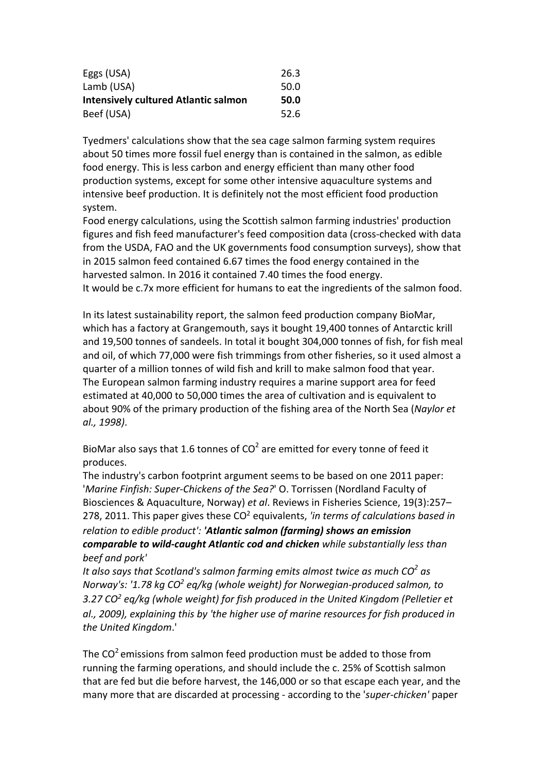| Eggs (USA)                                  | 26.3 |
|---------------------------------------------|------|
| Lamb (USA)                                  | 50.0 |
| <b>Intensively cultured Atlantic salmon</b> | 50.0 |
| Beef (USA)                                  | 52.6 |

Tyedmers' calculations show that the sea cage salmon farming system requires about 50 times more fossil fuel energy than is contained in the salmon, as edible food energy. This is less carbon and energy efficient than many other food production systems, except for some other intensive aquaculture systems and intensive beef production. It is definitely not the most efficient food production system. 

Food energy calculations, using the Scottish salmon farming industries' production figures and fish feed manufacturer's feed composition data (cross-checked with data from the USDA, FAO and the UK governments food consumption surveys), show that in 2015 salmon feed contained 6.67 times the food energy contained in the harvested salmon. In 2016 it contained 7.40 times the food energy. It would be c.7x more efficient for humans to eat the ingredients of the salmon food.

In its latest sustainability report, the salmon feed production company BioMar, which has a factory at Grangemouth, says it bought 19,400 tonnes of Antarctic krill and 19,500 tonnes of sandeels. In total it bought 304,000 tonnes of fish, for fish meal and oil, of which 77,000 were fish trimmings from other fisheries, so it used almost a quarter of a million tonnes of wild fish and krill to make salmon food that year. The European salmon farming industry requires a marine support area for feed estimated at 40,000 to 50,000 times the area of cultivation and is equivalent to about 90% of the primary production of the fishing area of the North Sea (Naylor et *al., 1998)*.

BioMar also says that 1.6 tonnes of  $CO<sup>2</sup>$  are emitted for every tonne of feed it produces. 

The industry's carbon footprint argument seems to be based on one 2011 paper: '*Marine Finfish: Super-Chickens of the Sea?*' O. Torrissen (Nordland Faculty of Biosciences & Aquaculture, Norway) *et al.* Reviews in Fisheries Science, 19(3):257– 278, 2011. This paper gives these CO<sup>2</sup> equivalents, 'in terms of calculations based in *relation to edible product': 'Atlantic salmon (farmina) shows an emission comparable to wild-caught Atlantic cod and chicken while substantially less than* beef and pork'

*It also says that Scotland's salmon farming emits almost twice as much CO<sup>2</sup> as Norway's: '1.78 kg CO<sup>2</sup> eq/kg* (whole weight) for Norwegian-produced salmon, to 3.27 CO<sup>2</sup> eq/kg (whole weight) for fish produced in the United Kingdom (Pelletier et al., 2009), explaining this by 'the higher use of marine resources for fish produced in *the United Kingdom*.'

The  $CO<sup>2</sup>$  emissions from salmon feed production must be added to those from running the farming operations, and should include the c. 25% of Scottish salmon that are fed but die before harvest, the 146,000 or so that escape each year, and the many more that are discarded at processing - according to the '*super-chicken'* paper